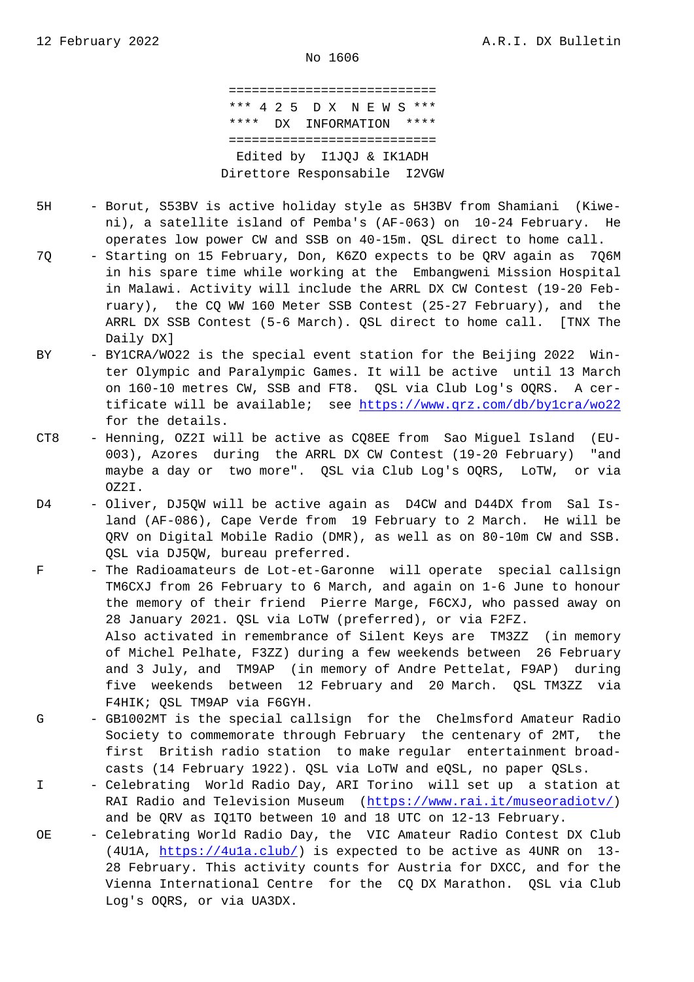=========================== \*\*\* 4 2 5 D X N E W S \*\*\* \*\*\*\* DX INFORMATION \*\*\*\* =========================== Edited by I1JQJ & IK1ADH Direttore Responsabile I2VGW

- 5H Borut, S53BV is active holiday style as 5H3BV from Shamiani (Kiwe ni), a satellite island of Pemba's (AF-063) on 10-24 February. He operates low power CW and SSB on 40-15m. QSL direct to home call.
- 7Q Starting on 15 February, Don, K6ZO expects to be QRV again as 7Q6M in his spare time while working at the Embangweni Mission Hospital in Malawi. Activity will include the ARRL DX CW Contest (19-20 Feb ruary), the CQ WW 160 Meter SSB Contest (25-27 February), and the ARRL DX SSB Contest (5-6 March). QSL direct to home call. [TNX The Daily DX]
- BY BY1CRA/WO22 is the special event station for the Beijing 2022 Win ter Olympic and Paralympic Games. It will be active until 13 March on 160-10 metres CW, SSB and FT8. QSL via Club Log's OQRS. A cer tificate will be available; see https://www.qrz.com/db/by1cra/wo22 for the details.
- CT8 Henning, OZ2I will be active as CQ8EE from Sao Miguel Island (EU- 003), Azores during the ARRL DX CW Contest (19-20 February) "and maybe a day or two more". QSL [via Club Log's OQRS, LoTW, or via](https://www.qrz.com/db/by1cra/wo22) OZ2I.
- D4 Oliver, DJ5QW will be active again as D4CW and D44DX from Sal Is land (AF-086), Cape Verde from 19 February to 2 March. He will be QRV on Digital Mobile Radio (DMR), as well as on 80-10m CW and SSB. QSL via DJ5QW, bureau preferred.
- F The Radioamateurs de Lot-et-Garonne will operate special callsign TM6CXJ from 26 February to 6 March, and again on 1-6 June to honour the memory of their friend Pierre Marge, F6CXJ, who passed away on 28 January 2021. QSL via LoTW (preferred), or via F2FZ. Also activated in remembrance of Silent Keys are TM3ZZ (in memory of Michel Pelhate, F3ZZ) during a few weekends between 26 February and 3 July, and TM9AP (in memory of Andre Pettelat, F9AP) during five weekends between 12 February and 20 March. QSL TM3ZZ via F4HIK; QSL TM9AP via F6GYH.
- G GB1002MT is the special callsign for the Chelmsford Amateur Radio Society to commemorate through February the centenary of 2MT, the first British radio station to make regular entertainment broad casts (14 February 1922). QSL via LoTW and eQSL, no paper QSLs.
- I Celebrating World Radio Day, ARI Torino will set up a station at RAI Radio and Television Museum (https://www.rai.it/museoradiotv/) and be QRV as IQ1TO between 10 and 18 UTC on 12-13 February.
- OE Celebrating World Radio Day, the VIC Amateur Radio Contest DX Club (4U1A, https://4u1a.club/) is expe[cted to be active as 4UNR on 13](https://www.rai.it/museoradiotv/)- 28 February. This activity counts for Austria for DXCC, and for the Vienna International Centre for the CQ DX Marathon. QSL via Club Log's O[QRS, or via UA3DX.](https://4u1a.club/)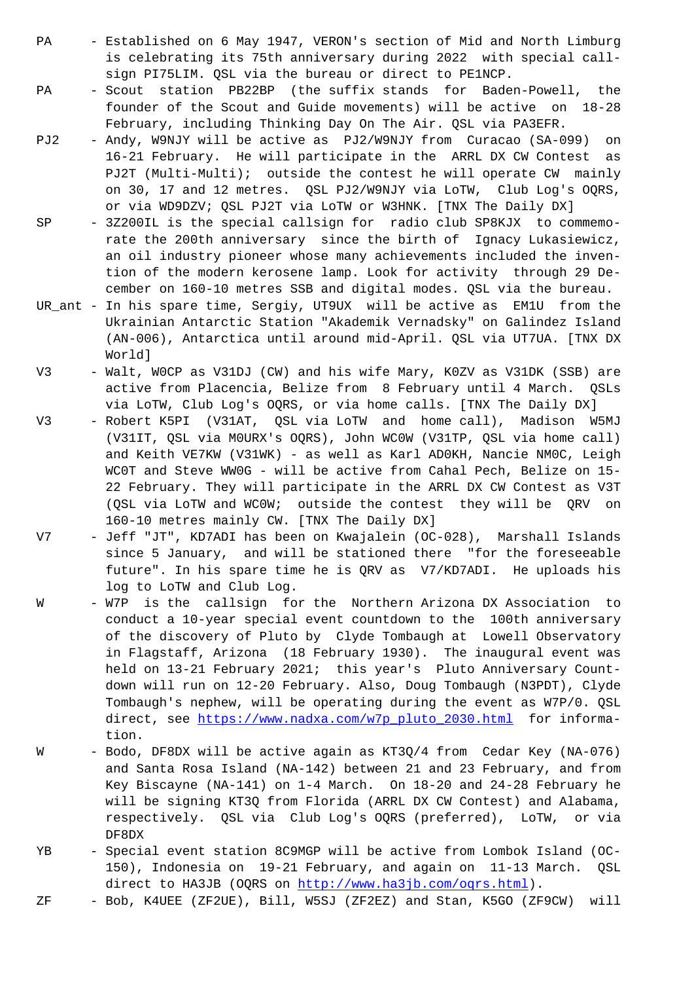is celebrating its 75th anniversary during 2022 with special call sign PI75LIM. QSL via the bureau or direct to PE1NCP.

- PA Scout station PB22BP (the suffix stands for Baden-Powell, the founder of the Scout and Guide movements) will be active on 18-28 February, including Thinking Day On The Air. QSL via PA3EFR.
- PJ2 Andy, W9NJY will be active as PJ2/W9NJY from Curacao (SA-099) on 16-21 February. He will participate in the ARRL DX CW Contest as PJ2T (Multi-Multi); outside the contest he will operate CW mainly on 30, 17 and 12 metres. QSL PJ2/W9NJY via LoTW, Club Log's OQRS, or via WD9DZV; QSL PJ2T via LoTW or W3HNK. [TNX The Daily DX]
- SP 3Z200IL is the special callsign for radio club SP8KJX to commemo rate the 200th anniversary since the birth of Ignacy Lukasiewicz, an oil industry pioneer whose many achievements included the inven tion of the modern kerosene lamp. Look for activity through 29 De cember on 160-10 metres SSB and digital modes. QSL via the bureau.
- UR\_ant In his spare time, Sergiy, UT9UX will be active as EM1U from the Ukrainian Antarctic Station "Akademik Vernadsky" on Galindez Island (AN-006), Antarctica until around mid-April. QSL via UT7UA. [TNX DX World]
- V3 Walt, WOCP as V31DJ (CW) and his wife Mary, KOZV as V31DK (SSB) are active from Placencia, Belize from 8 February until 4 March. QSLs via LoTW, Club Log's OQRS, or via home calls. [TNX The Daily DX]
- V3 Robert K5PI (V31AT, QSL via LoTW and home call), Madison W5MJ (V31IT, QSL via M0URX's OQRS), John WC0W (V31TP, QSL via home call) and Keith VE7KW (V31WK) - as well as Karl AD0KH, Nancie NM0C, Leigh WC0T and Steve WW0G - will be active from Cahal Pech, Belize on 15- 22 February. They will participate in the ARRL DX CW Contest as V3T (QSL via LoTW and WC0W; outside the contest they will be QRV on 160-10 metres mainly CW. [TNX The Daily DX]
- V7 Jeff "JT", KD7ADI has been on Kwajalein (OC-028), Marshall Islands since 5 January, and will be stationed there "for the foreseeable future". In his spare time he is QRV as V7/KD7ADI. He uploads his log to LoTW and Club Log.
- W W7P is the callsign for the Northern Arizona DX Association to conduct a 10-year special event countdown to the 100th anniversary of the discovery of Pluto by Clyde Tombaugh at Lowell Observatory in Flagstaff, Arizona (18 February 1930). The inaugural event was held on 13-21 February 2021; this year's Pluto Anniversary Count down will run on 12-20 February. Also, Doug Tombaugh (N3PDT), Clyde Tombaugh's nephew, will be operating during the event as W7P/0. QSL direct, see https://www.nadxa.com/w7p\_pluto\_2030.html for information.
- W Bodo, DF8DX will be active again as KT3Q/4 from Cedar Key (NA-076) and Santa Ro[sa Island \(NA-142\) between 21 and 23 Febr](https://www.nadxa.com/w7p_pluto_2030.html)uary, and from Key Biscayne (NA-141) on 1-4 March. On 18-20 and 24-28 February he will be signing KT3Q from Florida (ARRL DX CW Contest) and Alabama, respectively. QSL via Club Log's OQRS (preferred), LoTW, or via DF8DX
- YB Special event station 8C9MGP will be active from Lombok Island (OC- 150), Indonesia on 19-21 February, and again on 11-13 March. QSL direct to HA3JB (OQRS on http://www.ha3jb.com/oqrs.html).
- ZF Bob, K4UEE (ZF2UE), Bill, W5SJ (ZF2EZ) and Stan, K5GO (ZF9CW) will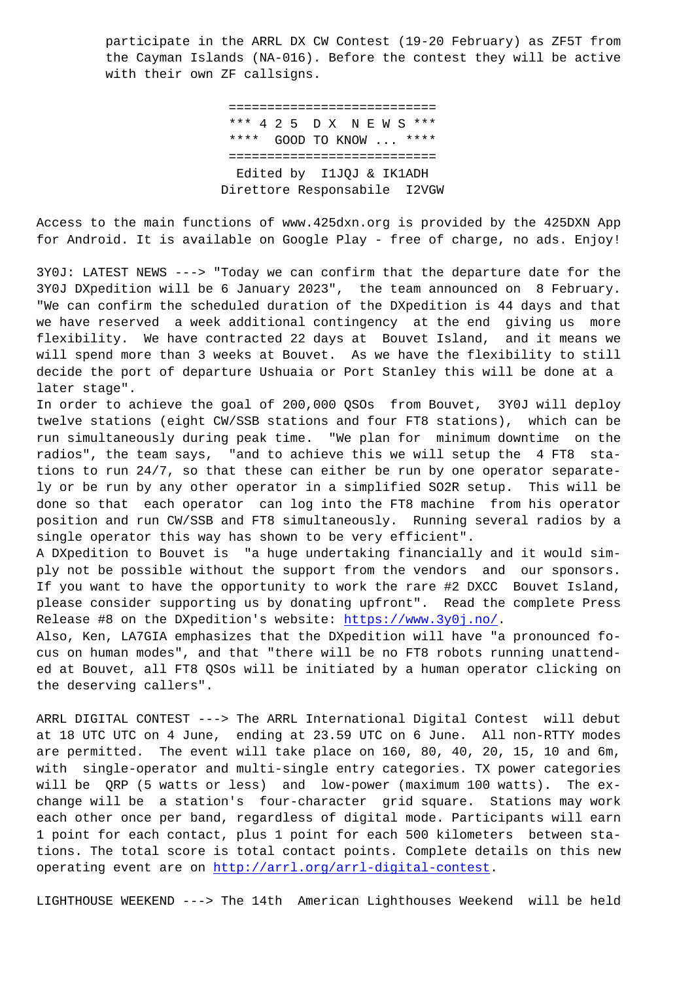the Cayman Islands (NA-016). Before the contest they will be active with their own ZF callsigns.

> =========================== \*\*\* 4 2 5 D X N E W S \*\*\* \*\*\*\* GOOD TO KNOW ... \*\*\*\* =========================== Edited by I1JQJ & IK1ADH Direttore Responsabile I2VGW

Access to the main functions of www.425dxn.org is provided by the 425DXN App for Android. It is available on Google Play - free of charge, no ads. Enjoy!

3Y0J: LATEST NEWS ---> "Today we can confirm that the departure date for the 3Y0J DXpedition will be 6 January 2023", the team announced on 8 February. "We can confirm the scheduled duration of the DXpedition is 44 days and that we have reserved a week additional contingency at the end giving us more flexibility. We have contracted 22 days at Bouvet Island, and it means we will spend more than 3 weeks at Bouvet. As we have the flexibility to still decide the port of departure Ushuaia or Port Stanley this will be done at a later stage".

In order to achieve the goal of 200,000 QSOs from Bouvet, 3Y0J will deploy twelve stations (eight CW/SSB stations and four FT8 stations), which can be run simultaneously during peak time. "We plan for minimum downtime on the radios", the team says, "and to achieve this we will setup the 4 FT8 stations to run 24/7, so that these can either be run by one operator separately or be run by any other operator in a simplified SO2R setup. This will be done so that each operator can log into the FT8 machine from his operator position and run CW/SSB and FT8 simultaneously. Running several radios by a single operator this way has shown to be very efficient".

A DXpedition to Bouvet is "a huge undertaking financially and it would simply not be possible without the support from the vendors and our sponsors. If you want to have the opportunity to work the rare #2 DXCC Bouvet Island, please consider supporting us by donating upfront". Read the complete Press Release #8 on the DXpedition's website: https://www.3y0j.no/.

Also, Ken, LA7GIA emphasizes that the DXpedition will have "a pronounced focus on human modes", and that "there will be no FT8 robots running unattended at Bouvet, all FT8 QSOs will be init[iated by a human oper](https://www.3y0j.no/)ator clicking on the deserving callers".

ARRL DIGITAL CONTEST ---> The ARRL International Digital Contest will debut at 18 UTC UTC on 4 June, ending at 23.59 UTC on 6 June. All non-RTTY modes are permitted. The event will take place on 160, 80, 40, 20, 15, 10 and 6m, with single-operator and multi-single entry categories. TX power categories will be QRP (5 watts or less) and low-power (maximum 100 watts). The exchange will be a station's four-character grid square. Stations may work each other once per band, regardless of digital mode. Participants will earn 1 point for each contact, plus 1 point for each 500 kilometers between stations. The total score is total contact points. Complete details on this new operating event are on http://arrl.org/arrl-digital-contest.

LIGHTHOUSE WEEKEND ---> The 14th American Lighthouses Weekend will be held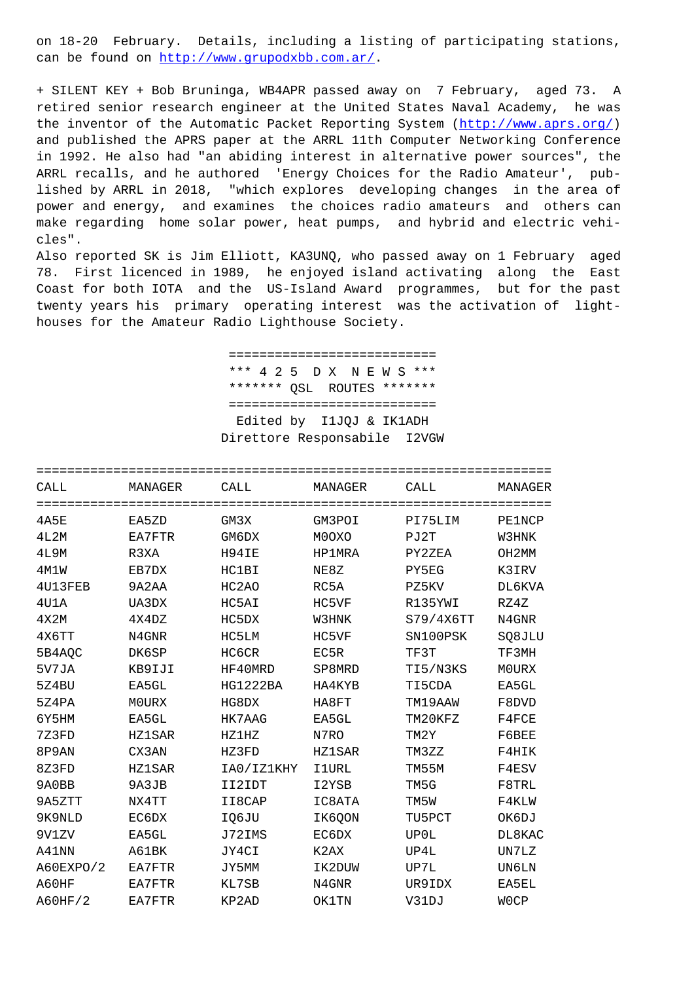can be round on <u>neep.//www</u> <u>, COM. al /</u> .

+ SILENT KEY + Bob Bruninga, WB4APR passed away on 7 February, aged 73. A retired senior research engineer at the United States Naval Academy, he was the inventor of the Automatic Packet Reporting System (http://www.aprs.org/) and published the APRS paper at the ARRL 11th Computer Networking Conference in 1992. He also had "an abiding interest in alternative power sources", the ARRL recalls, and he authored 'Energy Choices for the Radio Amateur', published by ARRL in 2018, "which explores developing changes in the area of power and energy, and examines the choices radio amateurs and others can make regarding home solar power, heat pumps, and hybrid and electric vehicles".

Also reported SK is Jim Elliott, KA3UNQ, who passed away on 1 February aged 78. First licenced in 1989, he enjoyed island activating along the East Coast for both IOTA and the US-Island Award programmes, but for the past twenty years his primary operating interest was the activation of lighthouses for the Amateur Radio Lighthouse Society.

> ============================ \*\*\* 4 2 5 D X N E W S \*\*\* \*\*\*\*\*\*\* OSL ROUTES \*\*\*\*\*\*\* ============================ Edited by I1JQJ & IK1ADH Direttore Responsabile I2VGW

| CALL      | MANAGER       | CALL                           | MANAGER       | CALL      | MANAGER       |
|-----------|---------------|--------------------------------|---------------|-----------|---------------|
| 4A5E      | EA5ZD         | GM3X                           | GM3POI        | PI75LIM   | <b>PE1NCP</b> |
| 4L2M      | EA7FTR        | GM6DX                          | M0OXO         | PJ2T      | W3HNK         |
| 4L9M      | R3XA          | H94IE                          | HP1MRA        | PY2ZEA    | OH2MM         |
| 4M1W      | EB7DX         | HC1BI                          | NE8Z          | PY5EG     | K3IRV         |
| 4U13FEB   | 9A2AA         | HC <sub>2</sub> A <sub>O</sub> | RC5A          | PZ5KV     | DL6KVA        |
| 4U1A      | UA3DX         | HC5AI                          | HC5VF         | R135YWI   | RZ4Z          |
| 4X2M      | 4X4DZ         | HC5DX                          | W3HNK         | S79/4X6TT | N4GNR         |
| 4X6TT     | N4GNR         | HC5LM                          | HC5VF         | SN100PSK  | SQ8JLU        |
| 5B4AQC    | DK6SP         | HC6CR                          | EC5R          | TF3T      | TF3MH         |
| 5V7JA     | KB9IJI        | HF40MRD                        | SP8MRD        | TI5/N3KS  | M0URX         |
| 5Z4BU     | EA5GL         | HG1222BA                       | HA4KYB        | TI5CDA    | EA5GL         |
| 5Z4PA     | M0URX         | HG8DX                          | HA8FT         | TM19AAW   | F8DVD         |
| 6Y5HM     | EA5GL         | HK7AAG                         | EA5GL         | TM20KFZ   | F4FCE         |
| 7Z3FD     | HZ1SAR        | <b>HZ1HZ</b>                   | N7RO          | TM2Y      | F6BEE         |
| 8P9AN     | CX3AN         | HZ3FD                          | <b>HZ1SAR</b> | TM3ZZ     | F4HIK         |
| 8Z3FD     | <b>HZ1SAR</b> | IA0/IZ1KHY                     | <b>I1URL</b>  | TM55M     | F4ESV         |
| 9A0BB     | 9A3JB         | II2IDT                         | I2YSB         | TM5G      | F8TRL         |
| 9A5ZTT    | NX4TT         | II8CAP                         | IC8ATA        | TM5W      | F4KLW         |
| 9K9NLD    | EC6DX         | IQ6JU                          | IK6QON        | TU5PCT    | OK6DJ         |
| 9V1ZV     | EA5GL         | J72IMS                         | EC6DX         | UP0L      | DL8KAC        |
| A41NN     | A61BK         | JY4CI                          | K2AX          | UP4L      | UN7LZ         |
| A60EXPO/2 | EA7FTR        | JY5MM                          | IK2DUW        | UP7L      | UN6LN         |
| A60HF     | EA7FTR        | KL7SB                          | N4GNR         | UR9IDX    | EA5EL         |
| A60HF/2   | EA7FTR        | KP2AD                          | <b>OK1TN</b>  | V31DJ     | W0CP          |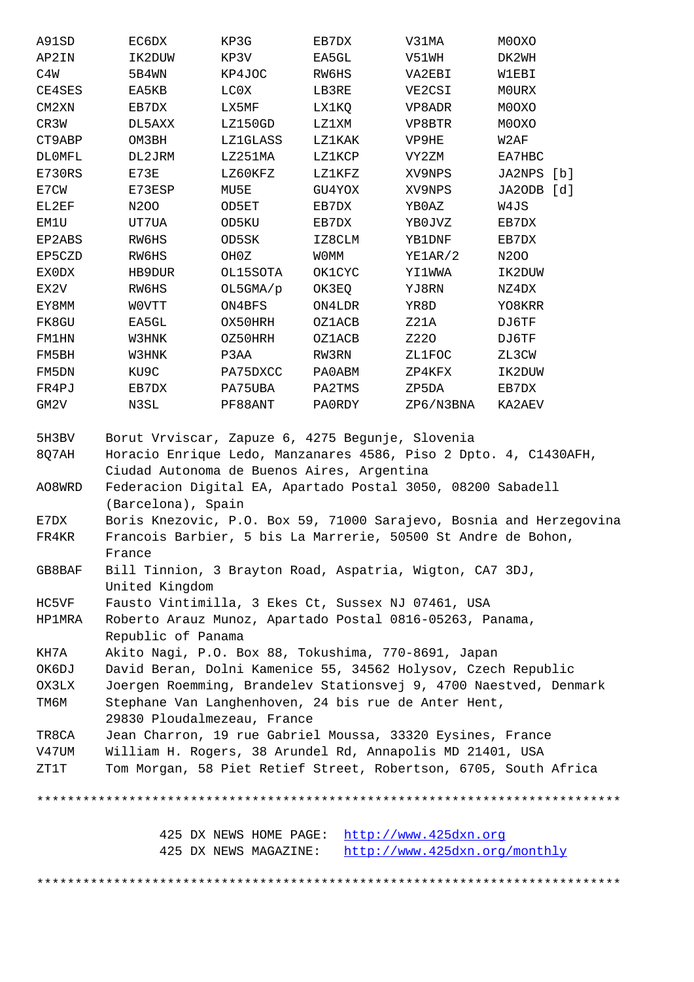| <b>AFZIN</b> | エレマロロル                                                                              | <b>NE JV</b>                               | חמכעת         | UWICV                                               | דווא איר   |  |  |  |  |
|--------------|-------------------------------------------------------------------------------------|--------------------------------------------|---------------|-----------------------------------------------------|------------|--|--|--|--|
| C4W          | 5B4WN                                                                               | KP4JOC                                     | RW6HS         | VA2EBI                                              | W1EBI      |  |  |  |  |
| CE4SES       | EA5KB                                                                               | LC0X                                       | LB3RE         | VE2CSI                                              | MOURX      |  |  |  |  |
| CM2XN        | EB7DX                                                                               | LX5MF                                      | LX1KQ         | VP8ADR                                              | M0OXO      |  |  |  |  |
| CR3W         | DL5AXX                                                                              | LZ150GD                                    | LZ1XM         | VP8BTR                                              | M0OXO      |  |  |  |  |
| CT9ABP       | OM3BH                                                                               | LZ1GLASS                                   | LZ1KAK        | VP9HE                                               | W2AF       |  |  |  |  |
| DL0MFL       | DL2JRM                                                                              | LZ251MA                                    | LZ1KCP        | VY2ZM                                               | EA7HBC     |  |  |  |  |
| E730RS       | E73E                                                                                | LZ60KFZ                                    | LZ1KFZ        | XV9NPS                                              | JA2NPS [b] |  |  |  |  |
| E7CW         | E73ESP                                                                              | MU5E                                       | GU4YOX        | XV9NPS                                              | JA2ODB [d] |  |  |  |  |
| EL2EF        | N200                                                                                | OD5ET                                      | EB7DX         | YBOAZ                                               | W4JS       |  |  |  |  |
| EM1U         | UT7UA                                                                               | OD5KU                                      | EB7DX         | YBOJVZ                                              | EB7DX      |  |  |  |  |
| EP2ABS       | RW6HS                                                                               | OD5SK                                      | IZ8CLM        | YB1DNF                                              | EB7DX      |  |  |  |  |
| EP5CZD       | RW6HS                                                                               | OHOZ                                       | <b>WOMM</b>   | YE1AR/2                                             | N200       |  |  |  |  |
| EX0DX        | HB9DUR                                                                              | OL15SOTA                                   | <b>OK1CYC</b> | YI1WWA                                              | IK2DUW     |  |  |  |  |
| EX2V         | RW6HS                                                                               | OL5GMA/p                                   | OK3EQ         | YJ8RN                                               | NZ4DX      |  |  |  |  |
| EY8MM        | <b>WOVTT</b>                                                                        | ON4BFS                                     | ON4LDR        | YR8D                                                | YO8KRR     |  |  |  |  |
| FK8GU        | EA5GL                                                                               | OX50HRH                                    | OZ1ACB        | Z21A                                                | DJ6TF      |  |  |  |  |
| FM1HN        | W3HNK                                                                               | OZ50HRH                                    | OZ1ACB        | Z220                                                | DJ6TF      |  |  |  |  |
| FM5BH        | W3HNK                                                                               | P3AA                                       | RW3RN         | ZL1FOC                                              | ZL3CW      |  |  |  |  |
| FM5DN        | KU9C                                                                                | PA75DXCC                                   | PA0ABM        | ZP4KFX                                              | IK2DUW     |  |  |  |  |
| FR4PJ        | EB7DX                                                                               | PA75UBA                                    | PA2TMS        | ZP5DA                                               | EB7DX      |  |  |  |  |
| GM2V         | N3SL                                                                                | PF88ANT                                    | PA0RDY        | ZP6/N3BNA                                           | KA2AEV     |  |  |  |  |
| 5H3BV        |                                                                                     |                                            |               | Borut Vrviscar, Zapuze 6, 4275 Begunje, Slovenia    |            |  |  |  |  |
| 8Q7AH        | Horacio Enrique Ledo, Manzanares 4586, Piso 2 Dpto. 4, C1430AFH,                    |                                            |               |                                                     |            |  |  |  |  |
|              |                                                                                     | Ciudad Autonoma de Buenos Aires, Argentina |               |                                                     |            |  |  |  |  |
| A08WRD       | Federacion Digital EA, Apartado Postal 3050, 08200 Sabadell                         |                                            |               |                                                     |            |  |  |  |  |
|              | (Barcelona), Spain                                                                  |                                            |               |                                                     |            |  |  |  |  |
| E7DX         | Boris Knezovic, P.O. Box 59, 71000 Sarajevo, Bosnia and Herzegovina                 |                                            |               |                                                     |            |  |  |  |  |
| FR4KR        | Francois Barbier, 5 bis La Marrerie, 50500 St Andre de Bohon,                       |                                            |               |                                                     |            |  |  |  |  |
|              | France                                                                              |                                            |               |                                                     |            |  |  |  |  |
| GB8BAF       | Bill Tinnion, 3 Brayton Road, Aspatria, Wigton, CA7 3DJ,<br>United Kingdom          |                                            |               |                                                     |            |  |  |  |  |
| HC5VF        | Fausto Vintimilla, 3 Ekes Ct, Sussex NJ 07461, USA                                  |                                            |               |                                                     |            |  |  |  |  |
| HP1MRA       | Roberto Arauz Munoz, Apartado Postal 0816-05263, Panama,                            |                                            |               |                                                     |            |  |  |  |  |
|              | Republic of Panama                                                                  |                                            |               |                                                     |            |  |  |  |  |
| KH7A         |                                                                                     |                                            |               | Akito Nagi, P.O. Box 88, Tokushima, 770-8691, Japan |            |  |  |  |  |
| OK6DJ        | David Beran, Dolni Kamenice 55, 34562 Holysov, Czech Republic                       |                                            |               |                                                     |            |  |  |  |  |
| OX3LX        | Joergen Roemming, Brandelev Stationsvej 9, 4700 Naestved, Denmark                   |                                            |               |                                                     |            |  |  |  |  |
| тм6м         | Stephane Van Langhenhoven, 24 bis rue de Anter Hent,<br>29830 Ploudalmezeau, France |                                            |               |                                                     |            |  |  |  |  |
| TR8CA        | Jean Charron, 19 rue Gabriel Moussa, 33320 Eysines, France                          |                                            |               |                                                     |            |  |  |  |  |
| V47UM        | William H. Rogers, 38 Arundel Rd, Annapolis MD 21401, USA                           |                                            |               |                                                     |            |  |  |  |  |
| ZT1T         | Tom Morgan, 58 Piet Retief Street, Robertson, 6705, South Africa                    |                                            |               |                                                     |            |  |  |  |  |
|              |                                                                                     |                                            |               |                                                     |            |  |  |  |  |
|              |                                                                                     | 425 DX NEWS HOME PAGE:                     |               | http://www.425dxn.org                               |            |  |  |  |  |
|              |                                                                                     | 425 DX NEWS MAGAZINE:                      |               | http://www.425dxn.org/monthly                       |            |  |  |  |  |
|              |                                                                                     |                                            |               |                                                     |            |  |  |  |  |
|              |                                                                                     |                                            |               |                                                     |            |  |  |  |  |